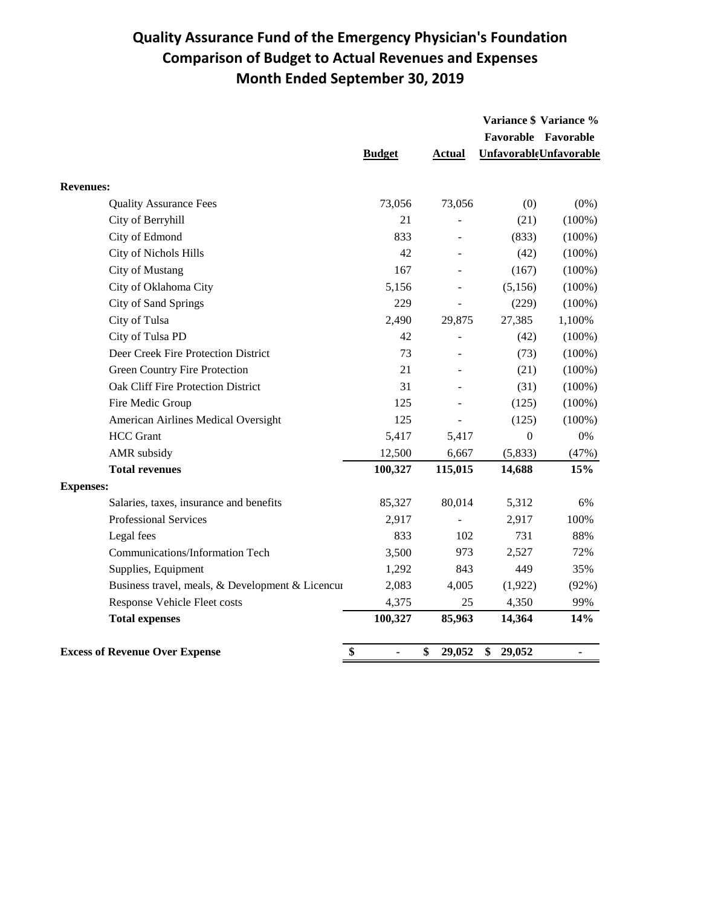## **Quality Assurance Fund of the Emergency Physician's Foundation Comparison of Budget to Actual Revenues and Expenses Month Ended September 30, 2019**

|                                                  |                      |               | Variance \$ Variance % |                                |
|--------------------------------------------------|----------------------|---------------|------------------------|--------------------------------|
|                                                  |                      |               |                        | Favorable Favorable            |
|                                                  | <b>Budget</b>        | <b>Actual</b> |                        | <b>Unfavorable Unfavorable</b> |
| <b>Revenues:</b>                                 |                      |               |                        |                                |
| <b>Quality Assurance Fees</b>                    | 73,056               | 73,056        | (0)                    | $(0\%)$                        |
| City of Berryhill                                | 21                   |               | (21)                   | $(100\%)$                      |
| City of Edmond                                   | 833                  |               | (833)                  | $(100\%)$                      |
| City of Nichols Hills                            | 42                   |               | (42)                   | $(100\%)$                      |
| <b>City of Mustang</b>                           | 167                  |               | (167)                  | $(100\%)$                      |
| City of Oklahoma City                            | 5,156                |               | (5,156)                | $(100\%)$                      |
| City of Sand Springs                             | 229                  |               | (229)                  | $(100\%)$                      |
| City of Tulsa                                    | 2,490                | 29,875        | 27,385                 | 1,100%                         |
| City of Tulsa PD                                 | 42                   |               | (42)                   | $(100\%)$                      |
| Deer Creek Fire Protection District              | 73                   |               | (73)                   | $(100\%)$                      |
| <b>Green Country Fire Protection</b>             | 21                   |               | (21)                   | $(100\%)$                      |
| Oak Cliff Fire Protection District               | 31                   |               | (31)                   | $(100\%)$                      |
| Fire Medic Group                                 | 125                  |               | (125)                  | $(100\%)$                      |
| American Airlines Medical Oversight              | 125                  |               | (125)                  | $(100\%)$                      |
| <b>HCC</b> Grant                                 | 5,417                | 5,417         | $\boldsymbol{0}$       | $0\%$                          |
| AMR subsidy                                      | 12,500               | 6,667         | (5,833)                | (47%)                          |
| <b>Total revenues</b>                            | 100,327              | 115,015       | 14,688                 | 15%                            |
| <b>Expenses:</b>                                 |                      |               |                        |                                |
| Salaries, taxes, insurance and benefits          | 85,327               | 80,014        | 5,312                  | 6%                             |
| Professional Services                            | 2,917                |               | 2,917                  | 100%                           |
| Legal fees                                       | 833                  | 102           | 731                    | 88%                            |
| Communications/Information Tech                  | 3,500                | 973           | 2,527                  | 72%                            |
| Supplies, Equipment                              | 1,292                | 843           | 449                    | 35%                            |
| Business travel, meals, & Development & Licencur | 2,083                | 4,005         | (1,922)                | (92%)                          |
| Response Vehicle Fleet costs                     | 4,375                | 25            | 4,350                  | 99%                            |
| <b>Total expenses</b>                            | 100,327              | 85,963        | 14,364                 | 14%                            |
| <b>Excess of Revenue Over Expense</b>            | \$<br>$\blacksquare$ | \$<br>29,052  | \$<br>29,052           | $\blacksquare$                 |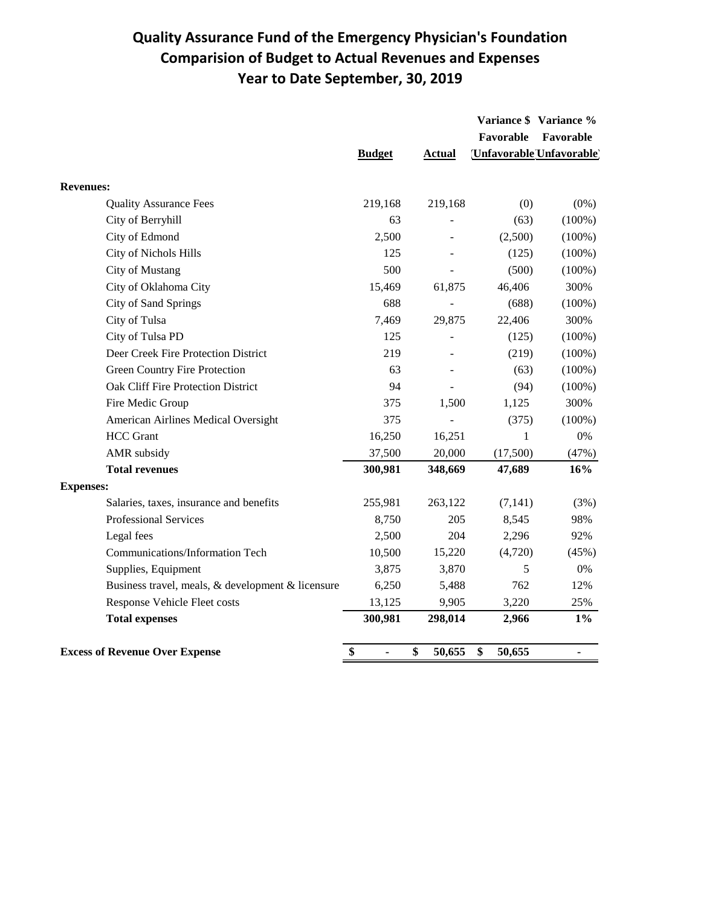## **Quality Assurance Fund of the Emergency Physician's Foundation Comparision of Budget to Actual Revenues and Expenses Year to Date September, 30, 2019**

|                                                   |                      |               | Favorable    | Variance \$ Variance %<br>Favorable |
|---------------------------------------------------|----------------------|---------------|--------------|-------------------------------------|
|                                                   | <b>Budget</b>        | <b>Actual</b> |              | Unfavorable Unfavorable             |
| <b>Revenues:</b>                                  |                      |               |              |                                     |
| <b>Quality Assurance Fees</b>                     | 219,168              | 219,168       | (0)          | $(0\%)$                             |
| City of Berryhill                                 | 63                   |               | (63)         | $(100\%)$                           |
| City of Edmond                                    | 2,500                |               | (2,500)      | $(100\%)$                           |
| City of Nichols Hills                             | 125                  |               | (125)        | $(100\%)$                           |
| City of Mustang                                   | 500                  |               | (500)        | $(100\%)$                           |
| City of Oklahoma City                             | 15,469               | 61,875        | 46,406       | 300%                                |
| City of Sand Springs                              | 688                  |               | (688)        | $(100\%)$                           |
| City of Tulsa                                     | 7,469                | 29,875        | 22,406       | 300%                                |
| City of Tulsa PD                                  | 125                  |               | (125)        | $(100\%)$                           |
| Deer Creek Fire Protection District               | 219                  |               | (219)        | $(100\%)$                           |
| <b>Green Country Fire Protection</b>              | 63                   |               | (63)         | $(100\%)$                           |
| Oak Cliff Fire Protection District                | 94                   |               | (94)         | $(100\%)$                           |
| Fire Medic Group                                  | 375                  | 1,500         | 1,125        | 300%                                |
| American Airlines Medical Oversight               | 375                  |               | (375)        | $(100\%)$                           |
| <b>HCC</b> Grant                                  | 16,250               | 16,251        | 1            | $0\%$                               |
| AMR subsidy                                       | 37,500               | 20,000        | (17,500)     | (47%)                               |
| <b>Total revenues</b>                             | 300,981              | 348,669       | 47,689       | 16%                                 |
| <b>Expenses:</b>                                  |                      |               |              |                                     |
| Salaries, taxes, insurance and benefits           | 255,981              | 263,122       | (7,141)      | (3%)                                |
| <b>Professional Services</b>                      | 8,750                | 205           | 8,545        | 98%                                 |
| Legal fees                                        | 2,500                | 204           | 2,296        | 92%                                 |
| Communications/Information Tech                   | 10,500               | 15,220        | (4,720)      | (45%)                               |
| Supplies, Equipment                               | 3,875                | 3,870         | 5            | 0%                                  |
| Business travel, meals, & development & licensure | 6,250                | 5,488         | 762          | 12%                                 |
| Response Vehicle Fleet costs                      | 13,125               | 9,905         | 3,220        | 25%                                 |
| <b>Total expenses</b>                             | 300,981              | 298,014       | 2,966        | $1\%$                               |
| <b>Excess of Revenue Over Expense</b>             | \$<br>$\blacksquare$ | \$<br>50,655  | \$<br>50,655 | $\blacksquare$                      |